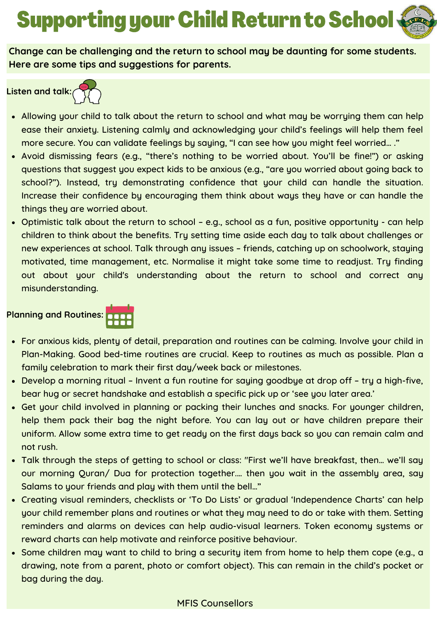# Supporting your Child Return to School

**Change can be challenging and the return to school may be daunting for some students. Here are some tips and suggestions for parents.**

**Listen and talk:**



- Allowing your child to talk about the return to school and what may be worrying them can help ease their anxiety. Listening calmly and acknowledging your child's feelings will help them feel more secure. You can validate feelings by saying, "I can see how you might feel worried… ."
- Avoid dismissing fears (e.g., "there's nothing to be worried about. You'll be fine!") or asking questions that suggest you expect kids to be anxious (e.g., "are you worried about going back to school?"). Instead, try demonstrating confidence that your child can handle the situation. Increase their confidence by encouraging them think about ways they have or can handle the things they are worried about.
- Optimistic talk about the return to school e.g., school as a fun, positive opportunity can help children to think about the benefits. Try setting time aside each day to talk about challenges or new experiences at school. Talk through any issues – friends, catching up on schoolwork, staying motivated, time management, etc. Normalise it might take some time to readjust. Try finding out about your child's understanding about the return to school and correct any misunderstanding.

# **Planning and Routines:**



- For anxious kids, plenty of detail, preparation and routines can be calming. Involve your child in Plan-Making. Good bed-time routines are crucial. Keep to routines as much as possible. Plan a family celebration to mark their first day/week back or milestones.
- Develop a morning ritual Invent a fun routine for saying goodbye at drop off try a high-five, bear hug or secret handshake and establish a specific pick up or 'see you later area.'
- Get your child involved in planning or packing their lunches and snacks. For younger children, help them pack their bag the night before. You can lay out or have children prepare their uniform. Allow some extra time to get ready on the first days back so you can remain calm and not rush.
- Talk through the steps of getting to school or class: "First we'll have breakfast, then… we'll say our morning Quran/ Dua for protection together.… then you wait in the assembly area, say Salams to your friends and play with them until the bell…"
- Creating visual reminders, checklists or 'To Do Lists' or gradual 'Independence Charts' can help your child remember plans and routines or what they may need to do or take with them. Setting reminders and alarms on devices can help audio-visual learners. Token economy systems or reward charts can help motivate and reinforce positive behaviour.
- Some children may want to child to bring a security item from home to help them cope (e.g., a drawing, note from a parent, photo or comfort object). This can remain in the child's pocket or bag during the day.

# MFIS Counsellors